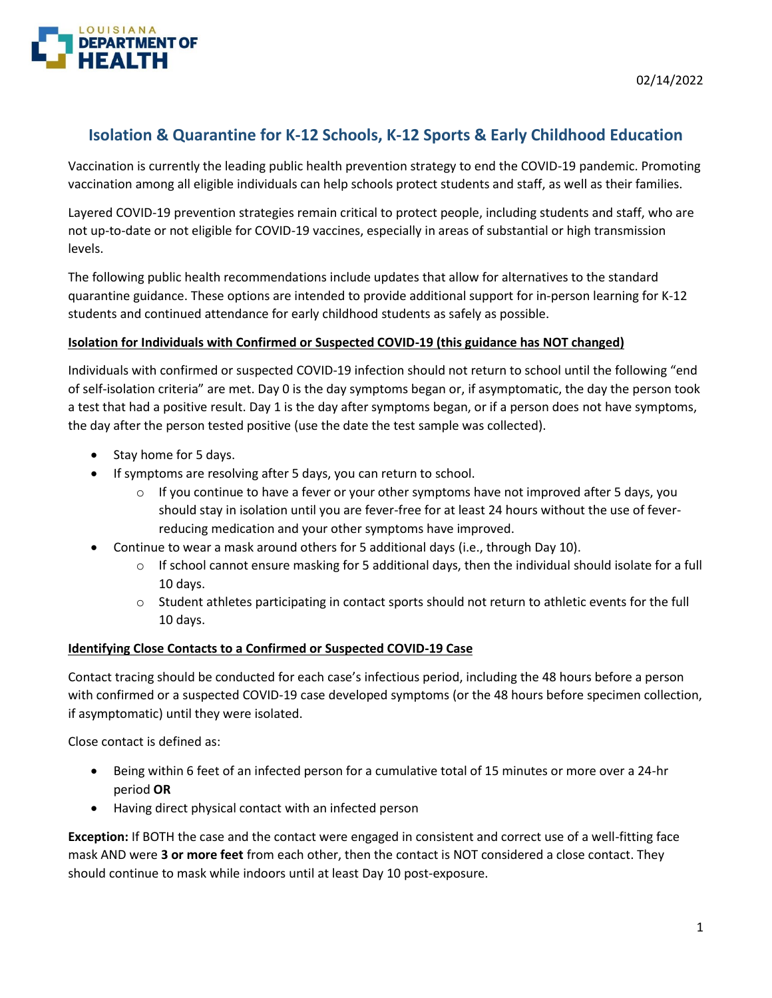

# **Isolation & Quarantine for K-12 Schools, K-12 Sports & Early Childhood Education**

Vaccination is currently the leading public health prevention strategy to end the COVID-19 pandemic. Promoting vaccination among all eligible individuals can help schools protect students and staff, as well as their families.

Layered COVID-19 prevention strategies remain critical to protect people, including students and staff, who are not up-to-date or not eligible for COVID-19 vaccines, especially in areas of substantial or high transmission levels.

The following public health recommendations include updates that allow for alternatives to the standard quarantine guidance. These options are intended to provide additional support for in-person learning for K-12 students and continued attendance for early childhood students as safely as possible.

### **Isolation for Individuals with Confirmed or Suspected COVID-19 (this guidance has NOT changed)**

Individuals with confirmed or suspected COVID-19 infection should not return to school until the following "end of self-isolation criteria" are met. Day 0 is the day symptoms began or, if asymptomatic, the day the person took a test that had a positive result. Day 1 is the day after symptoms began, or if a person does not have symptoms, the day after the person tested positive (use the date the test sample was collected).

- Stay home for 5 days.
- If symptoms are resolving after 5 days, you can return to school.
	- $\circ$  If you continue to have a fever or your other symptoms have not improved after 5 days, you should stay in isolation until you are fever-free for at least 24 hours without the use of feverreducing medication and your other symptoms have improved.
- Continue to wear a mask around others for 5 additional days (i.e., through Day 10).
	- $\circ$  If school cannot ensure masking for 5 additional days, then the individual should isolate for a full 10 days.
	- o Student athletes participating in contact sports should not return to athletic events for the full 10 days.

#### **Identifying Close Contacts to a Confirmed or Suspected COVID-19 Case**

Contact tracing should be conducted for each case's infectious period, including the 48 hours before a person with confirmed or a suspected COVID-19 case developed symptoms (or the 48 hours before specimen collection, if asymptomatic) until they were isolated.

Close contact is defined as:

- Being within 6 feet of an infected person for a cumulative total of 15 minutes or more over a 24-hr period **OR**
- Having direct physical contact with an infected person

**Exception:** If BOTH the case and the contact were engaged in consistent and correct use of a well-fitting face mask AND were **3 or more feet** from each other, then the contact is NOT considered a close contact. They should continue to mask while indoors until at least Day 10 post-exposure.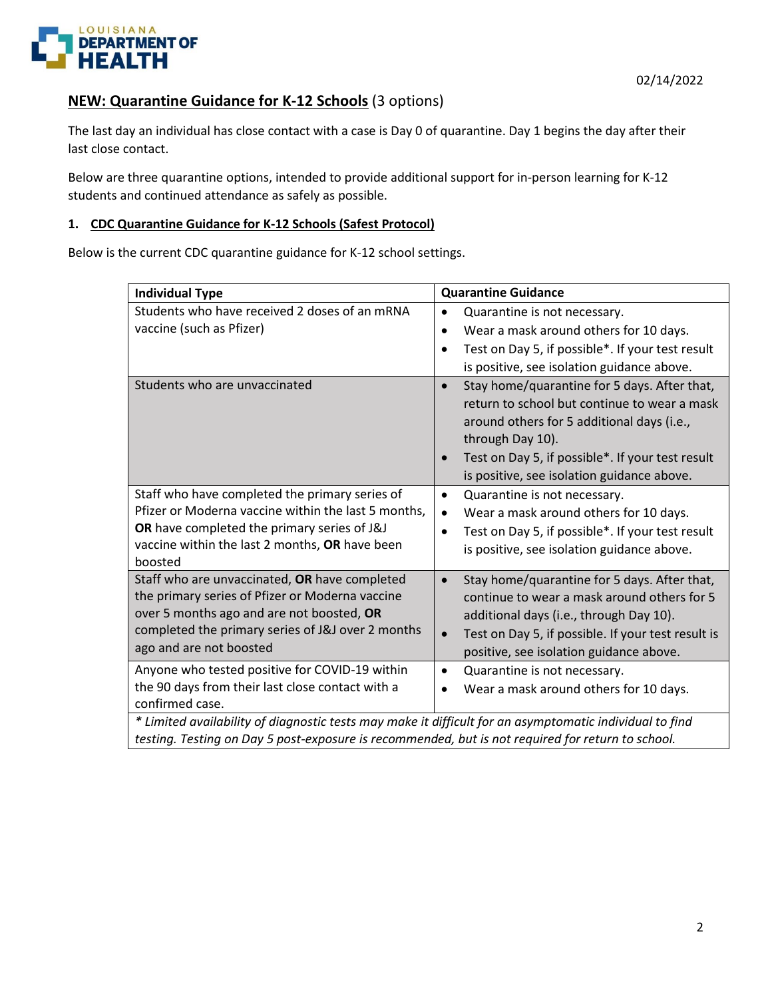

# **NEW: Quarantine Guidance for K-12 Schools** (3 options)

The last day an individual has close contact with a case is Day 0 of quarantine. Day 1 begins the day after their last close contact.

Below are three quarantine options, intended to provide additional support for in-person learning for K-12 students and continued attendance as safely as possible.

#### **1. CDC Quarantine Guidance for K-12 Schools (Safest Protocol)**

Below is the current CDC quarantine guidance for K-12 school settings.

| <b>Individual Type</b>                                                                                                                                                                                                           | <b>Quarantine Guidance</b>                                                                                                                                                                                                                                                    |
|----------------------------------------------------------------------------------------------------------------------------------------------------------------------------------------------------------------------------------|-------------------------------------------------------------------------------------------------------------------------------------------------------------------------------------------------------------------------------------------------------------------------------|
| Students who have received 2 doses of an mRNA<br>vaccine (such as Pfizer)                                                                                                                                                        | Quarantine is not necessary.<br>$\bullet$<br>Wear a mask around others for 10 days.<br>$\bullet$<br>Test on Day 5, if possible*. If your test result<br>$\bullet$<br>is positive, see isolation guidance above.                                                               |
| Students who are unvaccinated                                                                                                                                                                                                    | Stay home/quarantine for 5 days. After that,<br>$\bullet$<br>return to school but continue to wear a mask<br>around others for 5 additional days (i.e.,<br>through Day 10).<br>Test on Day 5, if possible*. If your test result<br>is positive, see isolation guidance above. |
| Staff who have completed the primary series of<br>Pfizer or Moderna vaccine within the last 5 months,<br>OR have completed the primary series of J&J<br>vaccine within the last 2 months, OR have been<br>boosted                | Quarantine is not necessary.<br>$\bullet$<br>Wear a mask around others for 10 days.<br>$\bullet$<br>Test on Day 5, if possible*. If your test result<br>$\bullet$<br>is positive, see isolation guidance above.                                                               |
| Staff who are unvaccinated, OR have completed<br>the primary series of Pfizer or Moderna vaccine<br>over 5 months ago and are not boosted, OR<br>completed the primary series of J&J over 2 months<br>ago and are not boosted    | Stay home/quarantine for 5 days. After that,<br>$\bullet$<br>continue to wear a mask around others for 5<br>additional days (i.e., through Day 10).<br>Test on Day 5, if possible. If your test result is<br>$\bullet$<br>positive, see isolation guidance above.             |
| Anyone who tested positive for COVID-19 within<br>the 90 days from their last close contact with a<br>confirmed case.<br>* Limited availability of diagnostic tests may make it difficult for an asymptomatic individual to find | Quarantine is not necessary.<br>$\bullet$<br>Wear a mask around others for 10 days.                                                                                                                                                                                           |

*testing. Testing on Day 5 post-exposure is recommended, but is not required for return to school.*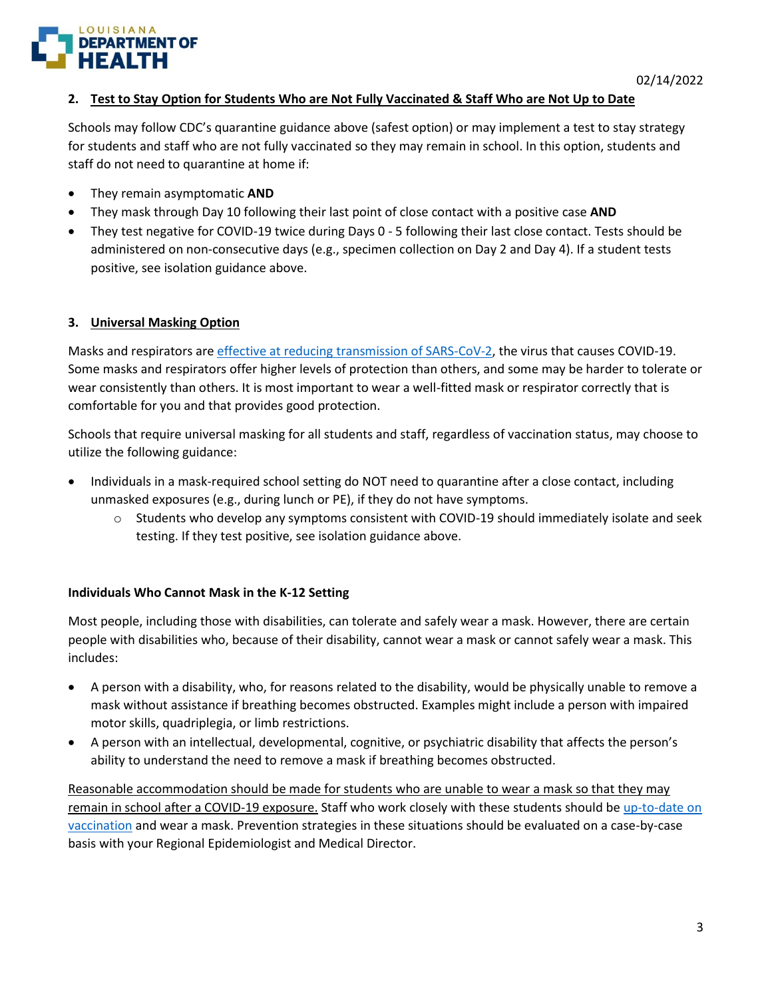

### **2. Test to Stay Option for Students Who are Not Fully Vaccinated & Staff Who are Not Up to Date**

Schools may follow CDC's quarantine guidance above (safest option) or may implement a test to stay strategy for students and staff who are not fully vaccinated so they may remain in school. In this option, students and staff do not need to quarantine at home if:

- They remain asymptomatic **AND**
- They mask through Day 10 following their last point of close contact with a positive case **AND**
- They test negative for COVID-19 twice during Days 0 5 following their last close contact. Tests should be administered on non-consecutive days (e.g., specimen collection on Day 2 and Day 4). If a student tests positive, see isolation guidance above.

### **3. Universal Masking Option**

Masks and respirators are [effective at reducing transmission of SARS-CoV-2,](https://www.cdc.gov/coronavirus/2019-ncov/science/science-briefs/masking-science-sars-cov2.html) the virus that causes COVID-19. Some masks and respirators offer higher levels of protection than others, and some may be harder to tolerate or wear consistently than others. It is most important to wear a well-fitted mask or respirator correctly that is comfortable for you and that provides good protection.

Schools that require universal masking for all students and staff, regardless of vaccination status, may choose to utilize the following guidance:

- Individuals in a mask-required school setting do NOT need to quarantine after a close contact, including unmasked exposures (e.g., during lunch or PE), if they do not have symptoms.
	- o Students who develop any symptoms consistent with COVID-19 should immediately isolate and seek testing. If they test positive, see isolation guidance above.

### **Individuals Who Cannot Mask in the K-12 Setting**

Most people, including those with disabilities, can tolerate and safely wear a mask. However, there are certain people with disabilities who, because of their disability, cannot wear a mask or cannot safely wear a mask. This includes:

- A person with a disability, who, for reasons related to the disability, would be physically unable to remove a mask without assistance if breathing becomes obstructed. Examples might include a person with impaired motor skills, quadriplegia, or limb restrictions.
- A person with an intellectual, developmental, cognitive, or psychiatric disability that affects the person's ability to understand the need to remove a mask if breathing becomes obstructed.

Reasonable accommodation should be made for students who are unable to wear a mask so that they may remain in school after a COVID-19 exposure. Staff who work closely with these students should b[e up-to-date on](https://www.cdc.gov/coronavirus/2019-ncov/vaccines/stay-up-to-date.html)  [vaccination](https://www.cdc.gov/coronavirus/2019-ncov/vaccines/stay-up-to-date.html) and wear a mask. Prevention strategies in these situations should be evaluated on a case-by-case basis with your Regional Epidemiologist and Medical Director.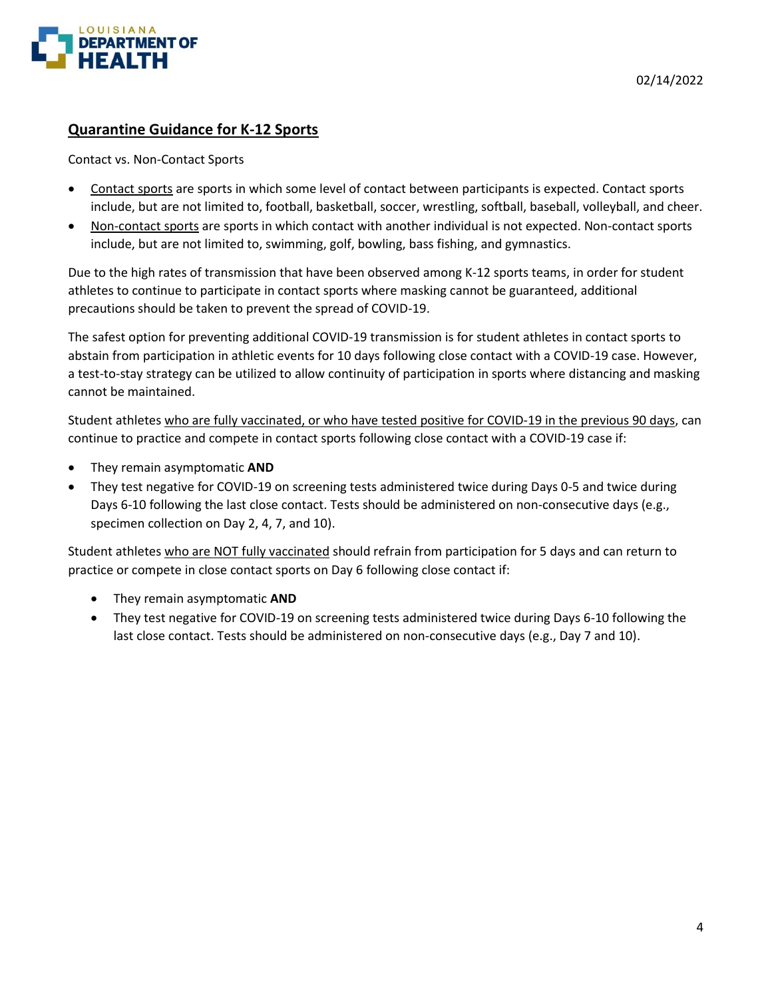

# **Quarantine Guidance for K-12 Sports**

#### Contact vs. Non-Contact Sports

- Contact sports are sports in which some level of contact between participants is expected. Contact sports include, but are not limited to, football, basketball, soccer, wrestling, softball, baseball, volleyball, and cheer.
- Non-contact sports are sports in which contact with another individual is not expected. Non-contact sports include, but are not limited to, swimming, golf, bowling, bass fishing, and gymnastics.

Due to the high rates of transmission that have been observed among K-12 sports teams, in order for student athletes to continue to participate in contact sports where masking cannot be guaranteed, additional precautions should be taken to prevent the spread of COVID-19.

The safest option for preventing additional COVID-19 transmission is for student athletes in contact sports to abstain from participation in athletic events for 10 days following close contact with a COVID-19 case. However, a test-to-stay strategy can be utilized to allow continuity of participation in sports where distancing and masking cannot be maintained.

Student athletes who are fully vaccinated, or who have tested positive for COVID-19 in the previous 90 days, can continue to practice and compete in contact sports following close contact with a COVID-19 case if:

- They remain asymptomatic **AND**
- They test negative for COVID-19 on screening tests administered twice during Days 0-5 and twice during Days 6-10 following the last close contact. Tests should be administered on non-consecutive days (e.g., specimen collection on Day 2, 4, 7, and 10).

Student athletes who are NOT fully vaccinated should refrain from participation for 5 days and can return to practice or compete in close contact sports on Day 6 following close contact if:

- They remain asymptomatic **AND**
- They test negative for COVID-19 on screening tests administered twice during Days 6-10 following the last close contact. Tests should be administered on non-consecutive days (e.g., Day 7 and 10).